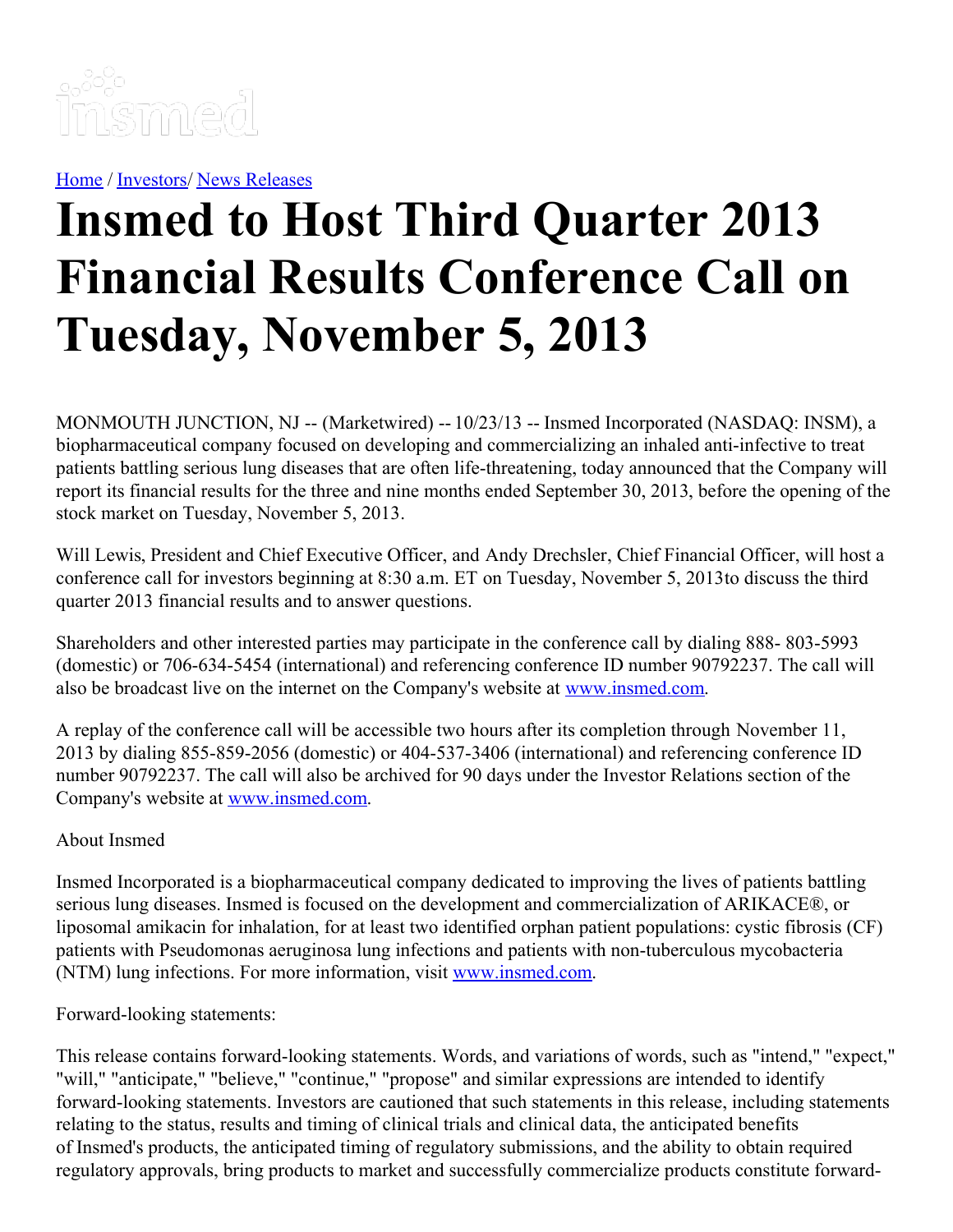

[Home](https://insmed.com/) / [Investors](https://investor.insmed.com/index)/ News [Releases](https://investor.insmed.com/releases)

## **Insmed to Host Third Quarter 2013 Financial Results Conference Call on Tuesday, November 5, 2013**

MONMOUTH JUNCTION, NJ -- (Marketwired) -- 10/23/13 -- Insmed Incorporated (NASDAQ: INSM), a biopharmaceutical company focused on developing and commercializing an inhaled anti-infective to treat patients battling serious lung diseases that are often life-threatening, today announced that the Company will report its financial results for the three and nine months ended September 30, 2013, before the opening of the stock market on Tuesday, November 5, 2013.

Will Lewis, President and Chief Executive Officer, and Andy Drechsler, Chief Financial Officer, will host a conference call for investors beginning at 8:30 a.m. ET on Tuesday, November 5, 2013to discuss the third quarter 2013 financial results and to answer questions.

Shareholders and other interested parties may participate in the conference call by dialing 888- 803-5993 (domestic) or 706-634-5454 (international) and referencing conference ID number 90792237. The call will also be broadcast live on the internet on the Company's website at [www.insmed.com](http://www.insmed.com/).

A replay of the conference call will be accessible two hours after its completion through November 11, 2013 by dialing 855-859-2056 (domestic) or 404-537-3406 (international) and referencing conference ID number 90792237. The call will also be archived for 90 days under the Investor Relations section of the Company's website at [www.insmed.com](http://www.insmed.com/).

## About Insmed

Insmed Incorporated is a biopharmaceutical company dedicated to improving the lives of patients battling serious lung diseases. Insmed is focused on the development and commercialization of ARIKACE®, or liposomal amikacin for inhalation, for at least two identified orphan patient populations: cystic fibrosis (CF) patients with Pseudomonas aeruginosa lung infections and patients with non-tuberculous mycobacteria (NTM) lung infections. For more information, visit [www.insmed.com](http://www.insmed.com/).

Forward-looking statements:

This release contains forward-looking statements. Words, and variations of words, such as "intend," "expect," "will," "anticipate," "believe," "continue," "propose" and similar expressions are intended to identify forward-looking statements. Investors are cautioned that such statements in this release, including statements relating to the status, results and timing of clinical trials and clinical data, the anticipated benefits of Insmed's products, the anticipated timing of regulatory submissions, and the ability to obtain required regulatory approvals, bring products to market and successfully commercialize products constitute forward